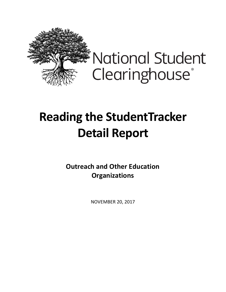

**National Student** Clearinghouse®

## **Reading the StudentTracker Detail Report**

**Outreach and Other Education Organizations**

NOVEMBER 20, 2017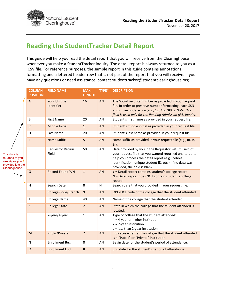

## **Reading the StudentTracker Detail Report**

This guide will help you read the detail report that you will receive from the Clearinghouse whenever you make a StudentTracker inquiry. The detail report is always returned to you as a .CSV file. For reference purposes, the sample report in this guide contains annotations, formatting and a lettered header row that is not part of the report that you will receive. If you have any questions or need assistance, contact studenttracker@studentclearinghouse.org.

| <b>COLUMN</b><br><b>POSITION</b> | <b>FIELD NAME</b>                | MAX.<br><b>LENGTH</b> | <b>TYPE*</b> | <b>DESCRIPTION</b>                                                                                                                                                                                                                                                |
|----------------------------------|----------------------------------|-----------------------|--------------|-------------------------------------------------------------------------------------------------------------------------------------------------------------------------------------------------------------------------------------------------------------------|
| $\overline{A}$                   | <b>Your Unique</b><br>Identifier | 16                    | AN           | The Social Security number as provided in your request<br>file. In order to preserve number formatting, each SSN<br>ends in an underscore (e.g., 123456789_). Note: this<br>field is used only for the Pending Admission (PA) inquiry.                            |
| B                                | <b>First Name</b>                | 20                    | AN           | Student's first name as provided in your request file.                                                                                                                                                                                                            |
| $\mathsf C$                      | <b>Middle Initial</b>            | $\mathbf{1}$          | <b>AN</b>    | Student's middle initial as provided in your request file.                                                                                                                                                                                                        |
| D                                | Last Name                        | 20                    | AN           | Student's last name as provided in your request file.                                                                                                                                                                                                             |
| E                                | <b>Name Suffix</b>               | 5                     | <b>AN</b>    | Name suffix as provided in your request file (e.g., III, Jr,<br>Sr).                                                                                                                                                                                              |
| F                                | <b>Requestor Return</b><br>Field | 50                    | AN           | Data provided by you in the Requestor Return Field of<br>your request file that you wanted returned unaltered to<br>help you process the detail report (e.g., cohort<br>identification, unique student ID, etc.). If no data was<br>provided, the field is blank. |
| G                                | Record Found Y/N                 | $\mathbf{1}$          | <b>AN</b>    | Y = Detail report contains student's college record<br>N = Detail report does NOT contain student's college<br>record                                                                                                                                             |
| H                                | Search Date                      | 8                     | N            | Search date that you provided in your request file.                                                                                                                                                                                                               |
| T                                | <b>College Code/Branch</b>       | $\mathsf g$           | <b>AN</b>    | OPE/FICE code of the college that the student attended.                                                                                                                                                                                                           |
| J                                | <b>College Name</b>              | 40                    | AN           | Name of the college that the student attended.                                                                                                                                                                                                                    |
| К                                | <b>College State</b>             | $\overline{2}$        | AN           | State in which the college that the student attended is<br>located.                                                                                                                                                                                               |
| L                                | 2-year/4-year                    | $\mathbf{1}$          | AN           | Type of college that the student attended:<br>$4 = 4$ -year or higher institution<br>$2 = 2$ -year institution<br>$L =$ less than 2-year institution                                                                                                              |
| M                                | Public/Private                   | $\overline{7}$        | AN           | Indicates whether the college that the student attended<br>is a "Public" or "Private" institution.                                                                                                                                                                |
| N                                | <b>Enrollment Begin</b>          | 8                     | AN           | Begin date for the student's period of attendance.                                                                                                                                                                                                                |
| $\circ$                          | <b>Enrollment End</b>            | 8                     | <b>AN</b>    | End date for the student's period of attendance.                                                                                                                                                                                                                  |
|                                  |                                  |                       |              |                                                                                                                                                                                                                                                                   |

This data is returned to **exactly** as y provided it to Clearinghou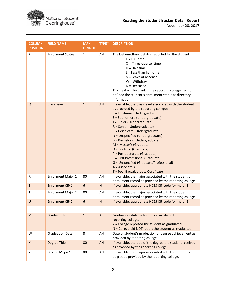

November 20, 2017

| <b>COLUMN</b><br><b>POSITION</b> | <b>FIELD NAME</b>         | MAX.<br><b>LENGTH</b> | TYPE*          | <b>DESCRIPTION</b>                                                                                                                                                                                                                                                                                                                                                                                                                                                                                                                                                       |
|----------------------------------|---------------------------|-----------------------|----------------|--------------------------------------------------------------------------------------------------------------------------------------------------------------------------------------------------------------------------------------------------------------------------------------------------------------------------------------------------------------------------------------------------------------------------------------------------------------------------------------------------------------------------------------------------------------------------|
| P                                | <b>Enrollment Status</b>  | $\mathbf{1}$          | AN             | The last enrollment status reported for the student:<br>$F = Full-time$<br>$Q$ = Three-quarter time<br>$H = Half-time$<br>$L =$ Less than half-time<br>$A =$ Leave of absence<br>$W = With drawn$<br>$D = Deceased$<br>This field will be blank if the reporting college has not<br>defined the student's enrollment status as directory<br>information.                                                                                                                                                                                                                 |
| Q                                | <b>Class Level</b>        | $\mathbf{1}$          | AN             | If available, the Class level associated with the student<br>as provided by the reporting college:<br>F = Freshman (Undergraduate)<br>S = Sophomore (Undergraduate)<br>J = Junior (Undergraduate)<br>R = Senior (Undergraduate)<br>C = Certificate (Undergraduate)<br>N = Unspecified (Undergraduate)<br>B = Bachelor's (Undergraduate)<br>M = Master's (Graduate)<br>D = Doctoral (Graduate)<br>P = Postdoctorate (Graduate)<br>L = First Professional (Graduate)<br>G = Unspecified (Graduate/Professional)<br>$A = Associate's$<br>T = Post Baccalaureate Certificate |
| R                                | <b>Enrollment Major 1</b> | 80                    | AN             | If available, the major associated with the student's<br>enrollment record as provided by the reporting college                                                                                                                                                                                                                                                                                                                                                                                                                                                          |
| S                                | <b>Enrollment CIP 1</b>   | 6                     | $\mathsf{N}$   | If available, appropriate NCES CIP code for major 1.                                                                                                                                                                                                                                                                                                                                                                                                                                                                                                                     |
| $\mathsf{T}$                     | <b>Enrollment Major 2</b> | 80                    | AN             | If available, the major associated with the student's<br>enrollment record as provided by the reporting college                                                                                                                                                                                                                                                                                                                                                                                                                                                          |
| $\cup$                           | <b>Enrollment CIP 2</b>   | $6\phantom{1}6$       | $\mathsf{N}$   | If available, appropriate NCES CIP code for major 2.                                                                                                                                                                                                                                                                                                                                                                                                                                                                                                                     |
| $\vee$                           | Graduated?                | $\mathbf{1}$          | $\overline{A}$ | Graduation status information available from the<br>reporting college.<br>Y = College reported the student as graduated<br>$N =$ College did NOT report the student as graduated                                                                                                                                                                                                                                                                                                                                                                                         |
| W                                | <b>Graduation Date</b>    | 8                     | AN             | Date of student's graduation or degree achievement as<br>provided by reporting college.                                                                                                                                                                                                                                                                                                                                                                                                                                                                                  |
| X                                | <b>Degree Title</b>       | 80                    | AN             | If available, the title of the degree the student received<br>as provided by the reporting college.                                                                                                                                                                                                                                                                                                                                                                                                                                                                      |
| Y                                | Degree Major 1            | 80                    | AN             | If available, the major associated with the student's<br>degree as provided by the reporting college.                                                                                                                                                                                                                                                                                                                                                                                                                                                                    |